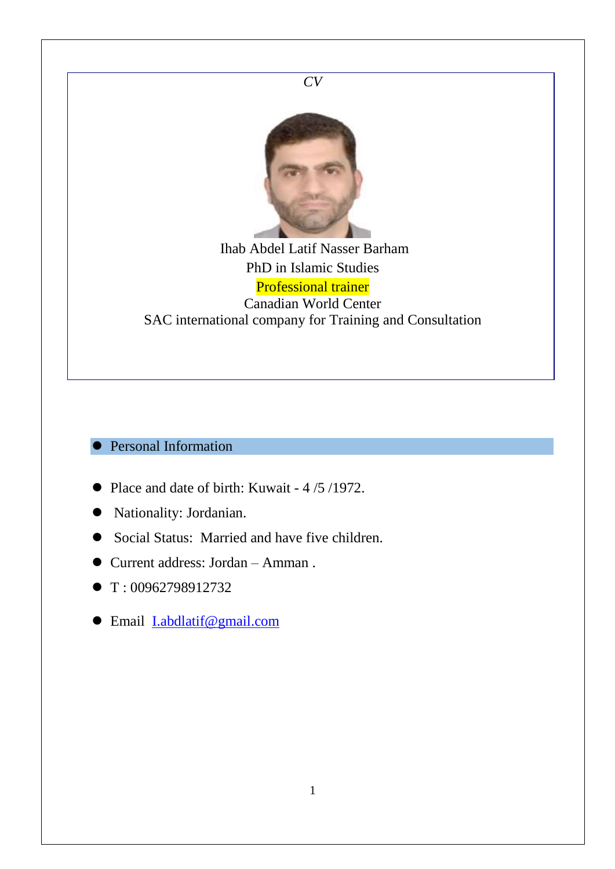

- T: 00962798912732
- Email [I.abdlatif@gmail.com](mailto:I.abdlatif@gmail.com)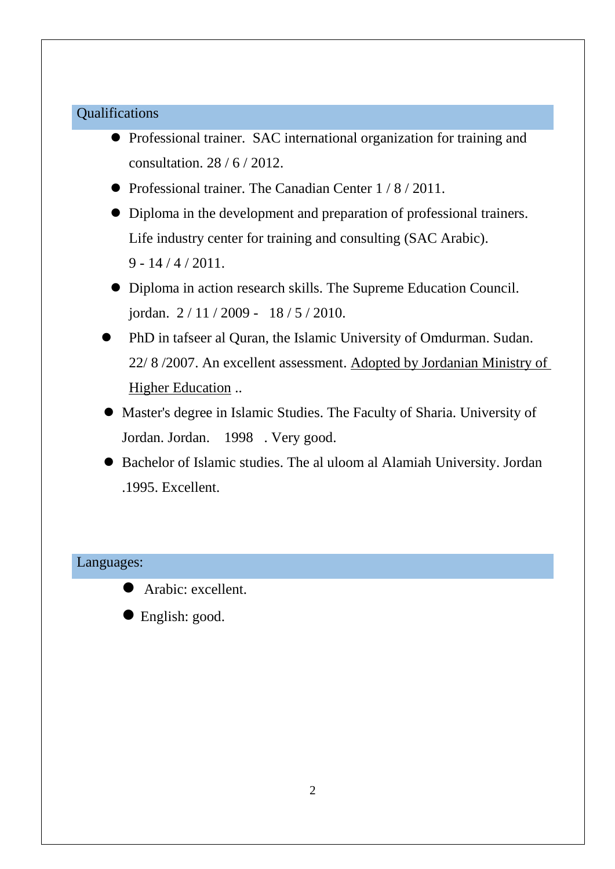# Qualifications

- Professional trainer. SAC international organization for training and consultation. 28 / 6 / 2012.
- Professional trainer. The Canadian Center  $1/8/2011$ .
- Diploma in the development and preparation of professional trainers. Life industry center for training and consulting (SAC Arabic).  $9 - 14 / 4 / 2011$ .
- Diploma in action research skills. The Supreme Education Council. jordan. 2 / 11 / 2009 - 18 / 5 / 2010.
- PhD in tafseer al Quran, the Islamic University of Omdurman. Sudan. 22/ 8 /2007. An excellent assessment. Adopted by Jordanian Ministry of Higher Education ..
- Master's degree in Islamic Studies. The Faculty of Sharia. University of Jordan. Jordan. 1998 . Very good.
- Bachelor of Islamic studies. The al uloom al Alamiah University. Jordan .1995. Excellent.

### Languages:



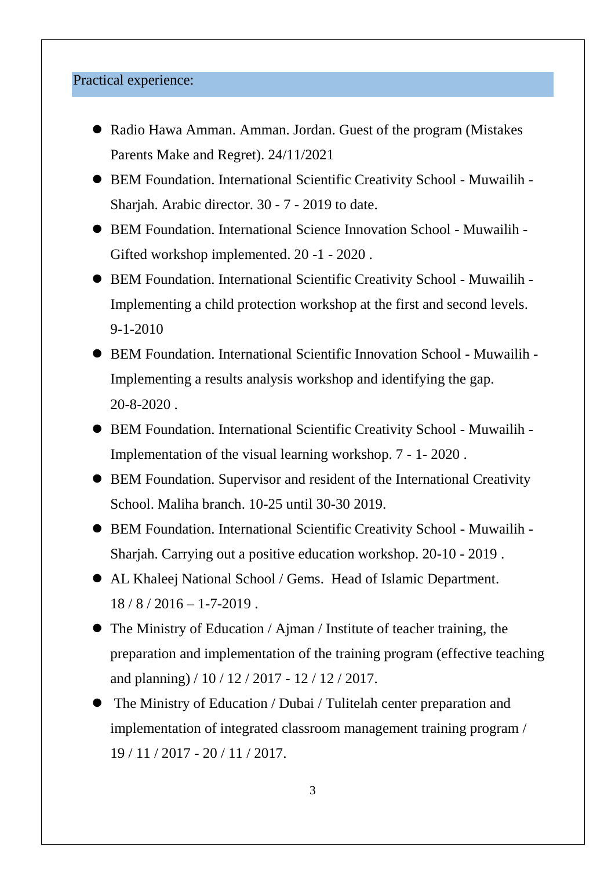## Practical experience:

- Radio Hawa Amman. Amman. Jordan. Guest of the program (Mistakes Parents Make and Regret). 24/11/2021
- BEM Foundation. International Scientific Creativity School Muwailih Sharjah. Arabic director. 30 - 7 - 2019 to date.
- BEM Foundation. International Science Innovation School Muwailih Gifted workshop implemented. 20 -1 - 2020 .
- BEM Foundation. International Scientific Creativity School Muwailih Implementing a child protection workshop at the first and second levels. 9-1-2010
- BEM Foundation. International Scientific Innovation School Muwailih Implementing a results analysis workshop and identifying the gap. 20-8-2020 .
- BEM Foundation. International Scientific Creativity School Muwailih Implementation of the visual learning workshop. 7 - 1- 2020 .
- BEM Foundation. Supervisor and resident of the International Creativity School. Maliha branch. 10-25 until 30-30 2019.
- BEM Foundation. International Scientific Creativity School Muwailih Sharjah. Carrying out a positive education workshop. 20-10 - 2019 .
- AL Khaleej National School / Gems. Head of Islamic Department.  $18 / 8 / 2016 - 1 - 7 - 2019$ .
- The Ministry of Education / Ajman / Institute of teacher training, the preparation and implementation of the training program (effective teaching and planning) / 10 / 12 / 2017 - 12 / 12 / 2017.
- The Ministry of Education / Dubai / Tulitelah center preparation and implementation of integrated classroom management training program / 19 / 11 / 2017 - 20 / 11 / 2017.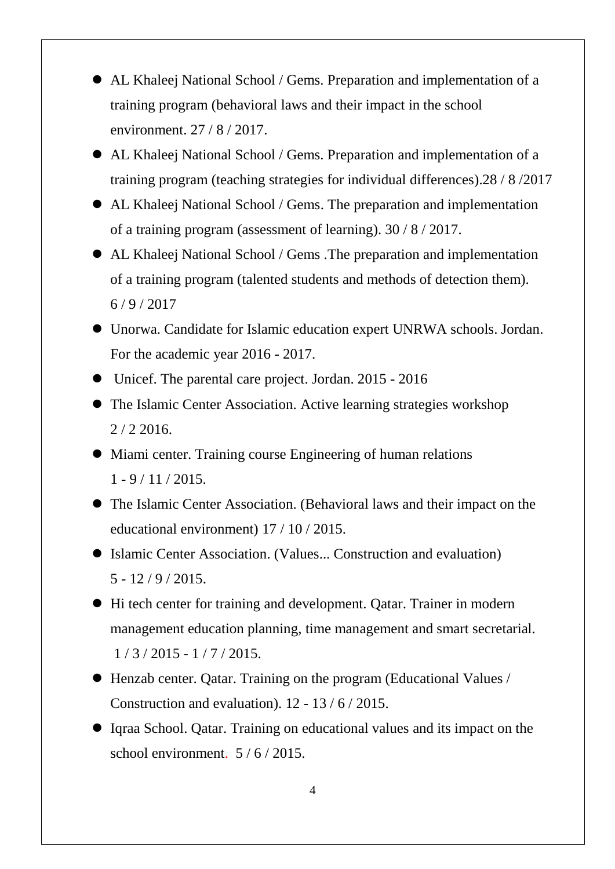- AL Khaleej National School / Gems. Preparation and implementation of a training program (behavioral laws and their impact in the school environment. 27 / 8 / 2017.
- AL Khaleej National School / Gems. Preparation and implementation of a training program (teaching strategies for individual differences).28 / 8 /2017
- AL Khaleej National School / Gems. The preparation and implementation of a training program (assessment of learning). 30 / 8 / 2017.
- AL Khaleej National School / Gems .The preparation and implementation of a training program (talented students and methods of detection them).  $6/9/2017$
- Unorwa. Candidate for Islamic education expert UNRWA schools. Jordan. For the academic year 2016 - 2017.
- Unicef. The parental care project. Jordan. 2015 2016
- The Islamic Center Association. Active learning strategies workshop 2 / 2 2016.
- Miami center. Training course Engineering of human relations  $1 - 9 / 11 / 2015$ .
- The Islamic Center Association. (Behavioral laws and their impact on the educational environment) 17 / 10 / 2015.
- Islamic Center Association. (Values... Construction and evaluation)  $5 - 12 / 9 / 2015$ .
- Hi tech center for training and development. Qatar. Trainer in modern management education planning, time management and smart secretarial. 1 / 3 / 2015 - 1 / 7 / 2015.
- Henzab center. Qatar. Training on the program (Educational Values / Construction and evaluation). 12 - 13 / 6 / 2015.
- Iqraa School. Qatar. Training on educational values and its impact on the school environment. 5 / 6 / 2015.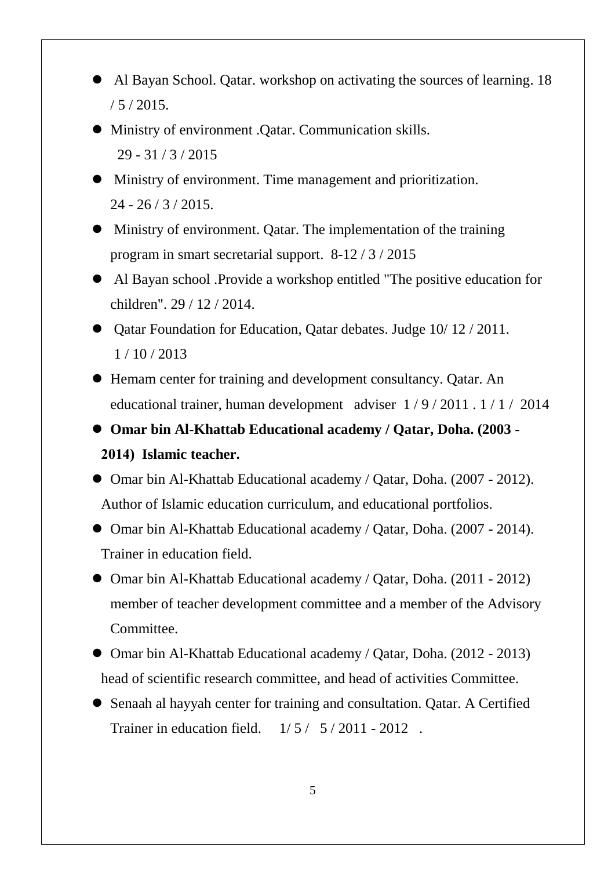- Al Bayan School. Qatar. workshop on activating the sources of learning. 18  $/ 5 / 2015.$
- Ministry of environment .Qatar. Communication skills. 29 - 31 / 3 / 2015
- Ministry of environment. Time management and prioritization.  $24 - 26 / 3 / 2015$ .
- Ministry of environment. Qatar. The implementation of the training program in smart secretarial support. 8-12 / 3 / 2015
- Al Bayan school .Provide a workshop entitled "The positive education for children". 29 / 12 / 2014.
- Qatar Foundation for Education, Qatar debates. Judge 10/12/2011. 1 / 10 / 2013
- Hemam center for training and development consultancy. Qatar. An educational trainer, human development adviser 1 / 9 / 2011 . 1 / 1 / 2014
- **Omar bin Al-Khattab Educational academy / Qatar, Doha. (2003 - 2014) Islamic teacher.**
- Omar bin Al-Khattab Educational academy / Qatar, Doha. (2007 2012). Author of Islamic education curriculum, and educational portfolios.
- Omar bin Al-Khattab Educational academy / Qatar, Doha. (2007 2014). Trainer in education field.
- Omar bin Al-Khattab Educational academy / Qatar, Doha. (2011 2012) member of teacher development committee and a member of the Advisory Committee.
- Omar bin Al-Khattab Educational academy / Qatar, Doha. (2012 2013) head of scientific research committee, and head of activities Committee.
- Senaah al hayyah center for training and consultation. Qatar. A Certified Trainer in education field.  $1/5/5/2011 - 2012$ .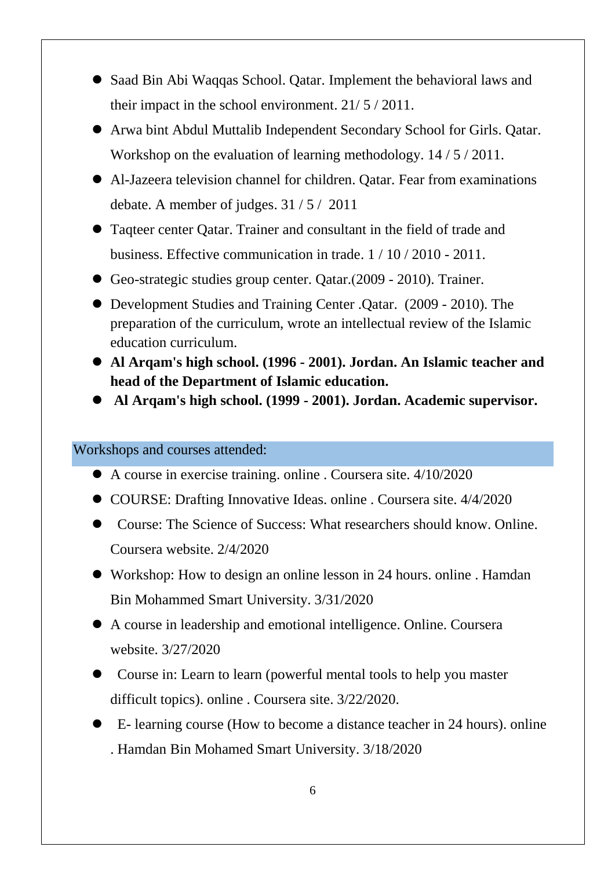- Saad Bin Abi Waqqas School. Qatar. Implement the behavioral laws and their impact in the school environment. 21/ 5 / 2011.
- Arwa bint Abdul Muttalib Independent Secondary School for Girls. Qatar. Workshop on the evaluation of learning methodology. 14 / 5 / 2011.
- Al-Jazeera television channel for children. Qatar. Fear from examinations debate. A member of judges. 31 / 5 / 2011
- Taqteer center Qatar. Trainer and consultant in the field of trade and business. Effective communication in trade. 1 / 10 / 2010 - 2011.
- Geo-strategic studies group center. Qatar.(2009 2010). Trainer.
- Development Studies and Training Center .Qatar. (2009 2010). The preparation of the curriculum, wrote an intellectual review of the Islamic education curriculum.
- **Al Arqam's high school. (1996 - 2001). Jordan. An Islamic teacher and head of the Department of Islamic education.**
- **Al Arqam's high school. (1999 - 2001). Jordan. Academic supervisor.**

Workshops and courses attended:

- A course in exercise training. online . Coursera site. 4/10/2020
- COURSE: Drafting Innovative Ideas. online . Coursera site. 4/4/2020
- Course: The Science of Success: What researchers should know. Online. Coursera website. 2/4/2020
- Workshop: How to design an online lesson in 24 hours. online . Hamdan Bin Mohammed Smart University. 3/31/2020
- A course in leadership and emotional intelligence. Online. Coursera website. 3/27/2020
- Course in: Learn to learn (powerful mental tools to help you master difficult topics). online . Coursera site. 3/22/2020.
- E- learning course (How to become a distance teacher in 24 hours). online . Hamdan Bin Mohamed Smart University. 3/18/2020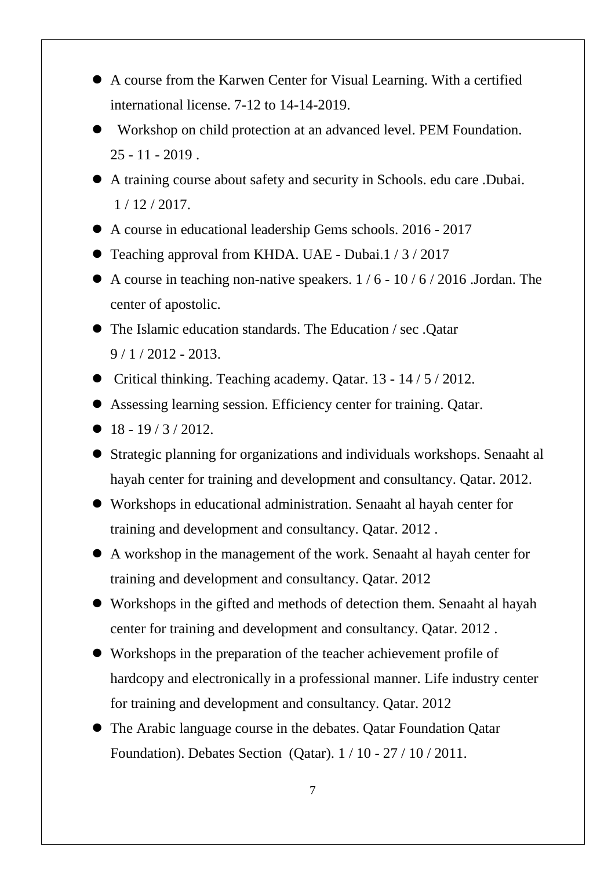- A course from the Karwen Center for Visual Learning. With a certified international license. 7-12 to 14-14-2019.
- Workshop on child protection at an advanced level. PEM Foundation.  $25 - 11 - 2019$ .
- A training course about safety and security in Schools. edu care .Dubai. 1 / 12 / 2017.
- A course in educational leadership Gems schools. 2016 2017
- Teaching approval from KHDA. UAE Dubai.1 / 3 / 2017
- A course in teaching non-native speakers. 1 / 6 10 / 6 / 2016 .Jordan. The center of apostolic.
- The Islamic education standards. The Education / sec .Qatar  $9/1/2012 - 2013$ .
- Critical thinking. Teaching academy. Qatar.  $13 14 / 5 / 2012$ .
- Assessing learning session. Efficiency center for training. Qatar.
- $18 19 / 3 / 2012$ .
- Strategic planning for organizations and individuals workshops. Senaaht al hayah center for training and development and consultancy. Qatar. 2012.
- Workshops in educational administration. Senaaht al hayah center for training and development and consultancy. Qatar. 2012 .
- A workshop in the management of the work. Senaaht al hayah center for training and development and consultancy. Qatar. 2012
- Workshops in the gifted and methods of detection them. Senaaht al hayah center for training and development and consultancy. Qatar. 2012 .
- Workshops in the preparation of the teacher achievement profile of hardcopy and electronically in a professional manner. Life industry center for training and development and consultancy. Qatar. 2012
- The Arabic language course in the debates. Qatar Foundation Qatar Foundation). Debates Section (Qatar). 1 / 10 - 27 / 10 / 2011.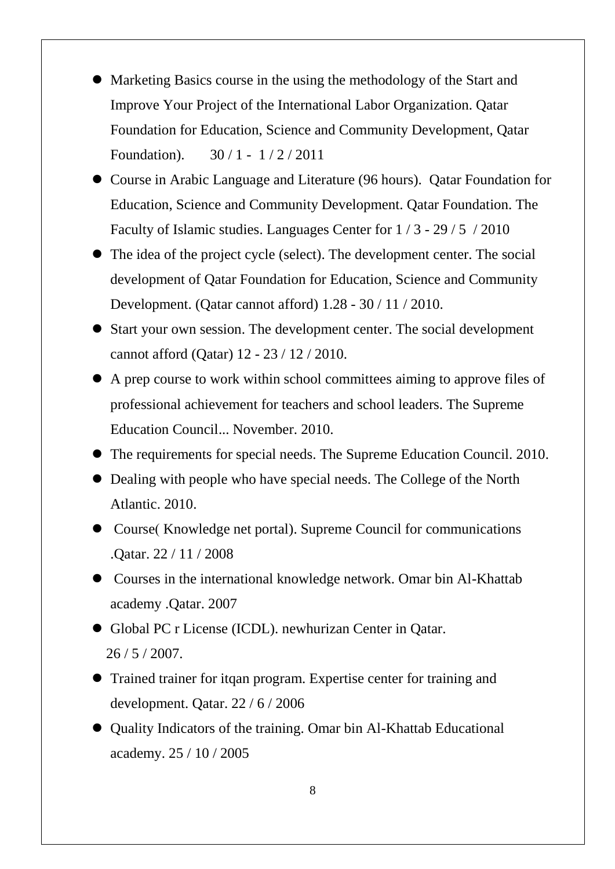- Marketing Basics course in the using the methodology of the Start and Improve Your Project of the International Labor Organization. Qatar Foundation for Education, Science and Community Development, Qatar Foundation). 30 / 1 - 1 / 2 / 2011
- Course in Arabic Language and Literature (96 hours). Qatar Foundation for Education, Science and Community Development. Qatar Foundation. The Faculty of Islamic studies. Languages Center for 1 / 3 - 29 / 5 / 2010
- The idea of the project cycle (select). The development center. The social development of Qatar Foundation for Education, Science and Community Development. (Qatar cannot afford) 1.28 - 30 / 11 / 2010.
- Start your own session. The development center. The social development cannot afford (Qatar) 12 - 23 / 12 / 2010.
- A prep course to work within school committees aiming to approve files of professional achievement for teachers and school leaders. The Supreme Education Council... November. 2010.
- The requirements for special needs. The Supreme Education Council. 2010.
- Dealing with people who have special needs. The College of the North Atlantic. 2010.
- Course(Knowledge net portal). Supreme Council for communications .Qatar. 22 / 11 / 2008
- Courses in the international knowledge network. Omar bin Al-Khattab academy .Qatar. 2007
- Global PC r License (ICDL). newhurizan Center in Qatar. 26 / 5 / 2007.
- Trained trainer for itqan program. Expertise center for training and development. Qatar. 22 / 6 / 2006
- Quality Indicators of the training. Omar bin Al-Khattab Educational academy. 25 / 10 / 2005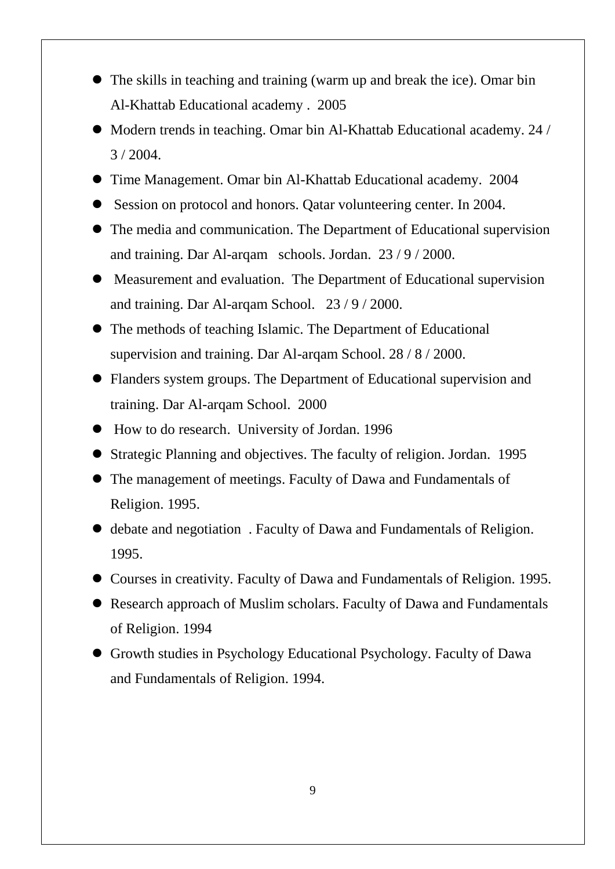- The skills in teaching and training (warm up and break the ice). Omar bin Al-Khattab Educational academy . 2005
- Modern trends in teaching. Omar bin Al-Khattab Educational academy. 24 /  $3 / 2004$ .
- Time Management. Omar bin Al-Khattab Educational academy. 2004
- Session on protocol and honors. Qatar volunteering center. In 2004.
- The media and communication. The Department of Educational supervision and training. Dar Al-arqam schools. Jordan. 23 / 9 / 2000.
- Measurement and evaluation. The Department of Educational supervision and training. Dar Al-arqam School. 23 / 9 / 2000.
- The methods of teaching Islamic. The Department of Educational supervision and training. Dar Al-arqam School. 28 / 8 / 2000.
- Flanders system groups. The Department of Educational supervision and training. Dar Al-arqam School. 2000
- How to do research. University of Jordan. 1996
- Strategic Planning and objectives. The faculty of religion. Jordan. 1995
- The management of meetings. Faculty of Dawa and Fundamentals of Religion. 1995.
- debate and negotiation . Faculty of Dawa and Fundamentals of Religion. 1995.
- Courses in creativity. Faculty of Dawa and Fundamentals of Religion. 1995.
- Research approach of Muslim scholars. Faculty of Dawa and Fundamentals of Religion. 1994
- Growth studies in Psychology Educational Psychology. Faculty of Dawa and Fundamentals of Religion. 1994.